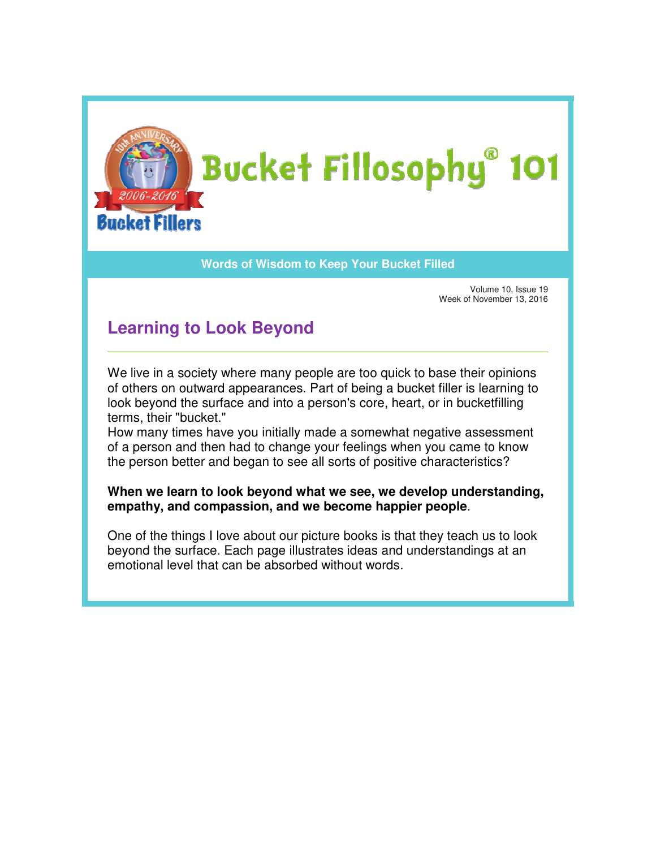

## **Words of Wisdom to Keep Your Bucket Filled**

Volume 10, Issue 19 Week of November 13, 2016 Issue of November

## **Learning to Look Beyond Learning to**

We live in a society where many people are too quick to base their opinions We live in a society where many people are too quick to base their opinions<br>of others on outward appearances. Part of being a bucket filler is learning to look beyond the surface and into a person's core, heart, or in bucketfilling terms, their "bucket." look beyond the surface and into a person's core, heart, or in bucketfilling<br>terms, their "bucket."<br>How many times have you initially made a somewhat negative assessment

of a person and then had to change your feelings when you came to know the person better and began to see all sorts of positive characteristics? the person art of being a bucket filler is learning t<br>rson's core, heart, or in bucketfilling<br>de a somewhat negative assessment<br>our feelings when you came to know<br>I sorts of positive characteristics?<br>**t we see, we develop understandi** 

## **When we learn to look beyond what we see, we develop understanding, empathy, and compassion, and we become happier peopl When we look empathy, we people**.

One of the things I love about our picture books is that they teach us to look beyond the surface. Each page illustrates ideas and understandings at an<br>emotional level that can be absorbed without words*.* emotional level that can be absorbed without words